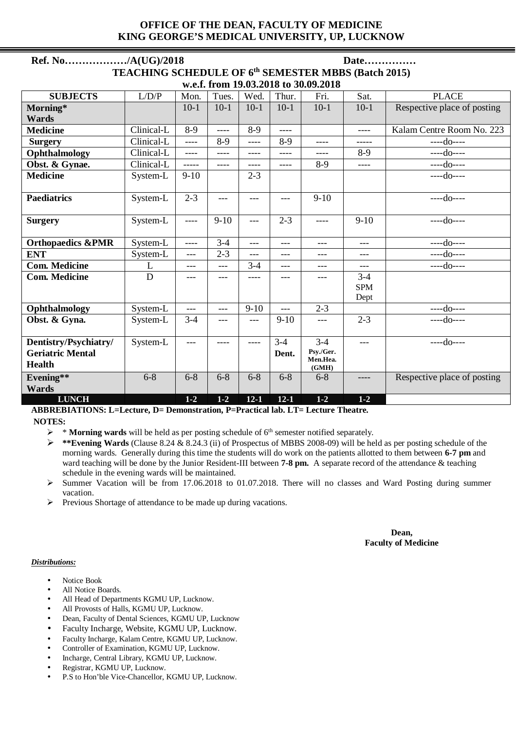### **OFFICE OF THE DEAN, FACULTY OF MEDICINE KING GEORGE'S MEDICAL UNIVERSITY, UP, LUCKNOW**

| Ref. No/A(UG)/2018                                  |            |         |         |          |          |                   | Date       |                             |  |  |  |  |
|-----------------------------------------------------|------------|---------|---------|----------|----------|-------------------|------------|-----------------------------|--|--|--|--|
| TEACHING SCHEDULE OF 6th SEMESTER MBBS (Batch 2015) |            |         |         |          |          |                   |            |                             |  |  |  |  |
| w.e.f. from 19.03.2018 to 30.09.2018                |            |         |         |          |          |                   |            |                             |  |  |  |  |
| <b>SUBJECTS</b>                                     | L/D/P      | Mon.    | Tues.   | Wed.     | Thur.    | Fri.              | Sat.       | <b>PLACE</b>                |  |  |  |  |
| Morning*                                            |            | $10-1$  | $10-1$  | $10-1$   | $10-1$   | $10-1$            | $10-1$     | Respective place of posting |  |  |  |  |
| <b>Wards</b>                                        |            |         |         |          |          |                   |            |                             |  |  |  |  |
| <b>Medicine</b>                                     | Clinical-L | $8-9$   | $---$   | $8-9$    | $---$    |                   | $---$      | Kalam Centre Room No. 223   |  |  |  |  |
| <b>Surgery</b>                                      | Clinical-L | $---$   | $8-9$   | ----     | $8-9$    | ----              | -----      | $---do---$                  |  |  |  |  |
| Ophthalmology                                       | Clinical-L | $---$   | ----    | ----     | ----     | ----              | $8-9$      | $---do---$                  |  |  |  |  |
| Obst. & Gynae.                                      | Clinical-L | -----   | ----    | ----     | ----     | $8-9$             | ----       | $---do---$                  |  |  |  |  |
| <b>Medicine</b>                                     | System-L   | $9-10$  |         | $2 - 3$  |          |                   |            | $---do---$                  |  |  |  |  |
|                                                     |            |         |         |          |          |                   |            |                             |  |  |  |  |
| <b>Paediatrics</b>                                  | System-L   | $2 - 3$ | ---     | $---$    | ---      | $9-10$            |            | $---do---$                  |  |  |  |  |
| <b>Surgery</b>                                      | System-L   | ----    | $9-10$  | ---      | $2 - 3$  | ----              | $9-10$     | $---do---$                  |  |  |  |  |
| <b>Orthopaedics &amp;PMR</b>                        | System-L   | ----    | $3 - 4$ | $---$    | $---$    | ---               | $---$      | $---do---$                  |  |  |  |  |
| <b>ENT</b>                                          | System-L   | $---$   | $2 - 3$ | ---      | ---      | ---               | ---        | $---do---$                  |  |  |  |  |
| <b>Com. Medicine</b>                                | L          | $---$   | ---     | $3-4$    | $---$    | $---$             | $---$      | $---do---$                  |  |  |  |  |
| <b>Com. Medicine</b>                                | D          | $---$   | ---     | ----     | ---      | ---               | $3 - 4$    |                             |  |  |  |  |
|                                                     |            |         |         |          |          |                   | <b>SPM</b> |                             |  |  |  |  |
|                                                     |            |         |         |          |          |                   | Dept       |                             |  |  |  |  |
| Ophthalmology                                       | System-L   | $---$   | $---$   | $9-10$   | $---$    | $2 - 3$           |            | $---do---$                  |  |  |  |  |
| Obst. & Gyna.                                       | System-L   | $3 - 4$ | ---     | $---$    | $9-10$   | $---$             | $2 - 3$    | $---do---$                  |  |  |  |  |
| Dentistry/Psychiatry/                               | System-L   | $---$   | ----    | ----     | $3-4$    | $3-4$             | $---$      | $---do---$                  |  |  |  |  |
| <b>Geriatric Mental</b>                             |            |         |         |          | Dent.    | Psy./Ger.         |            |                             |  |  |  |  |
| <b>Health</b>                                       |            |         |         |          |          | Men.Hea.<br>(GMH) |            |                             |  |  |  |  |
| Evening**                                           | $6 - 8$    | $6 - 8$ | $6 - 8$ | $6 - 8$  | $6 - 8$  | $6 - 8$           | ----       | Respective place of posting |  |  |  |  |
| Wards                                               |            |         |         |          |          |                   |            |                             |  |  |  |  |
| <b>LUNCH</b>                                        |            | $1 - 2$ | $1 - 2$ | $12 - 1$ | $12 - 1$ | $1-2$             | $1 - 2$    |                             |  |  |  |  |

**ABBREBIATIONS: L=Lecture, D= Demonstration, P=Practical lab. LT= Lecture Theatre. NOTES:** 

 $\triangleright$  \* **Morning wards** will be held as per posting schedule of 6<sup>th</sup> semester notified separately.

 **\*\*Evening Wards** (Clause 8.24 & 8.24.3 (ii) of Prospectus of MBBS 2008-09) will be held as per posting schedule of the morning wards. Generally during this time the students will do work on the patients allotted to them between **6-7 pm** and ward teaching will be done by the Junior Resident-III between **7-8 pm.** A separate record of the attendance & teaching schedule in the evening wards will be maintained.

- $\geq$  Summer Vacation will be from 17.06.2018 to 01.07.2018. There will no classes and Ward Posting during summer vacation.
- $\triangleright$  Previous Shortage of attendance to be made up during vacations.

#### **Dean, Faculty of Medicine**

#### *Distributions:*

- Notice Book
- All Notice Boards.
- All Head of Departments KGMU UP, Lucknow.
- All Provosts of Halls, KGMU UP, Lucknow.
- Dean, Faculty of Dental Sciences, KGMU UP, Lucknow
- Faculty Incharge, Website, KGMU UP, Lucknow.
- Faculty Incharge, Kalam Centre, KGMU UP, Lucknow.
- Controller of Examination, KGMU UP, Lucknow.
- Incharge, Central Library, KGMU UP, Lucknow.
- Registrar, KGMU UP, Lucknow.
- P.S to Hon'ble Vice-Chancellor, KGMU UP, Lucknow.